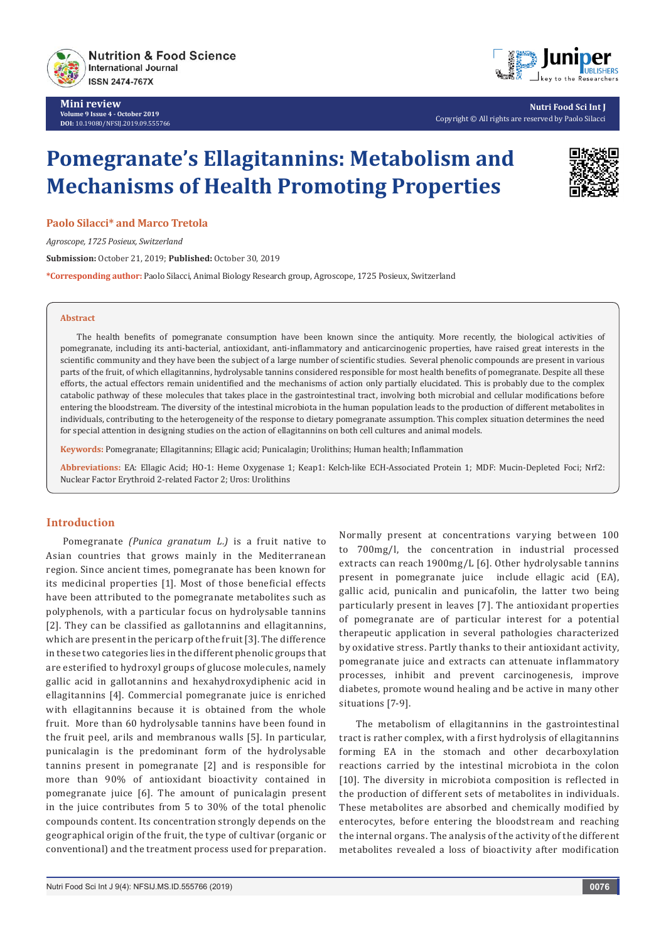

**Mini review Volume 9 Issue 4 - October 2019 DOI:** [10.19080/NFSIJ.2019.09.555766](http://dx.doi.org/10.19080/NFSIJ.2019.09.555766)



**Nutri Food Sci Int J** Copyright © All rights are reserved by Paolo Silacci

# **Pomegranate's Ellagitannins: Metabolism and Mechanisms of Health Promoting Properties**

**Paolo Silacci\* and Marco Tretola**

*Agroscope, 1725 Posieux, Switzerland*

**Submission:** October 21, 2019; **Published:** October 30, 2019

**\*Corresponding author:** Paolo Silacci, Animal Biology Research group, Agroscope, 1725 Posieux, Switzerland

### **Abstract**

The health benefits of pomegranate consumption have been known since the antiquity. More recently, the biological activities of pomegranate, including its anti-bacterial, antioxidant, anti-inflammatory and anticarcinogenic properties, have raised great interests in the scientific community and they have been the subject of a large number of scientific studies. Several phenolic compounds are present in various parts of the fruit, of which ellagitannins, hydrolysable tannins considered responsible for most health benefits of pomegranate. Despite all these efforts, the actual effectors remain unidentified and the mechanisms of action only partially elucidated. This is probably due to the complex catabolic pathway of these molecules that takes place in the gastrointestinal tract, involving both microbial and cellular modifications before entering the bloodstream. The diversity of the intestinal microbiota in the human population leads to the production of different metabolites in individuals, contributing to the heterogeneity of the response to dietary pomegranate assumption. This complex situation determines the need for special attention in designing studies on the action of ellagitannins on both cell cultures and animal models.

**Keywords:** Pomegranate; Ellagitannins; Ellagic acid; Punicalagin; Urolithins; Human health; Inflammation

**Abbreviations:** EA: Ellagic Acid; HO-1: Heme Oxygenase 1; Keap1: Kelch-like ECH-Associated Protein 1; MDF: Mucin-Depleted Foci; Nrf2: Nuclear Factor Erythroid 2-related Factor 2; Uros: Urolithins

# **Introduction**

Pomegranate *(Punica granatum L.)* is a fruit native to Asian countries that grows mainly in the Mediterranean region. Since ancient times, pomegranate has been known for its medicinal properties [1]. Most of those beneficial effects have been attributed to the pomegranate metabolites such as polyphenols, with a particular focus on hydrolysable tannins [2]. They can be classified as gallotannins and ellagitannins, which are present in the pericarp of the fruit [3]. The difference in these two categories lies in the different phenolic groups that are esterified to hydroxyl groups of glucose molecules, namely gallic acid in gallotannins and hexahydroxydiphenic acid in ellagitannins [4]. Commercial pomegranate juice is enriched with ellagitannins because it is obtained from the whole fruit. More than 60 hydrolysable tannins have been found in the fruit peel, arils and membranous walls [5]. In particular, punicalagin is the predominant form of the hydrolysable tannins present in pomegranate [2] and is responsible for more than 90% of antioxidant bioactivity contained in pomegranate juice [6]. The amount of punicalagin present in the juice contributes from 5 to 30% of the total phenolic compounds content. Its concentration strongly depends on the geographical origin of the fruit, the type of cultivar (organic or conventional) and the treatment process used for preparation.

Normally present at concentrations varying between 100 to 700mg/l, the concentration in industrial processed extracts can reach 1900mg/L [6]. Other hydrolysable tannins present in pomegranate juice include ellagic acid (EA), gallic acid, punicalin and punicafolin, the latter two being particularly present in leaves [7]. The antioxidant properties of pomegranate are of particular interest for a potential therapeutic application in several pathologies characterized by oxidative stress. Partly thanks to their antioxidant activity, pomegranate juice and extracts can attenuate inflammatory processes, inhibit and prevent carcinogenesis, improve diabetes, promote wound healing and be active in many other situations [7-9].

The metabolism of ellagitannins in the gastrointestinal tract is rather complex, with a first hydrolysis of ellagitannins forming EA in the stomach and other decarboxylation reactions carried by the intestinal microbiota in the colon [10]. The diversity in microbiota composition is reflected in the production of different sets of metabolites in individuals. These metabolites are absorbed and chemically modified by enterocytes, before entering the bloodstream and reaching the internal organs. The analysis of the activity of the different metabolites revealed a loss of bioactivity after modification

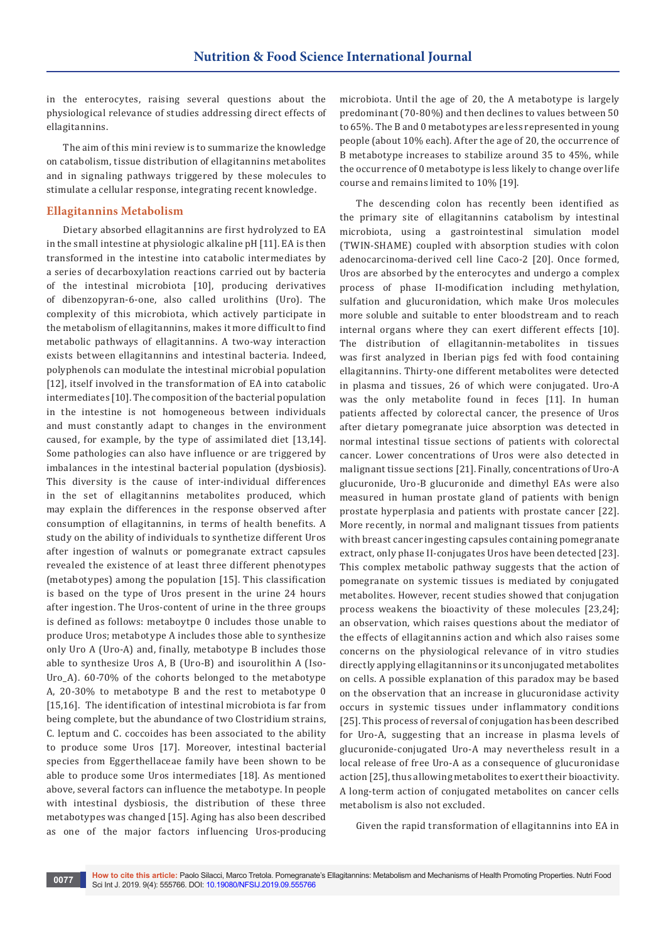in the enterocytes, raising several questions about the physiological relevance of studies addressing direct effects of ellagitannins.

The aim of this mini review is to summarize the knowledge on catabolism, tissue distribution of ellagitannins metabolites and in signaling pathways triggered by these molecules to stimulate a cellular response, integrating recent knowledge.

## **Ellagitannins Metabolism**

Dietary absorbed ellagitannins are first hydrolyzed to EA in the small intestine at physiologic alkaline pH [11]. EA is then transformed in the intestine into catabolic intermediates by a series of decarboxylation reactions carried out by bacteria of the intestinal microbiota [10], producing derivatives of dibenzopyran‐6‐one, also called urolithins (Uro). The complexity of this microbiota, which actively participate in the metabolism of ellagitannins, makes it more difficult to find metabolic pathways of ellagitannins. A two-way interaction exists between ellagitannins and intestinal bacteria. Indeed, polyphenols can modulate the intestinal microbial population [12], itself involved in the transformation of EA into catabolic intermediates [10]. The composition of the bacterial population in the intestine is not homogeneous between individuals and must constantly adapt to changes in the environment caused, for example, by the type of assimilated diet [13,14]. Some pathologies can also have influence or are triggered by imbalances in the intestinal bacterial population (dysbiosis). This diversity is the cause of inter-individual differences in the set of ellagitannins metabolites produced, which may explain the differences in the response observed after consumption of ellagitannins, in terms of health benefits. A study on the ability of individuals to synthetize different Uros after ingestion of walnuts or pomegranate extract capsules revealed the existence of at least three different phenotypes (metabotypes) among the population [15]. This classification is based on the type of Uros present in the urine 24 hours after ingestion. The Uros-content of urine in the three groups is defined as follows: metaboytpe 0 includes those unable to produce Uros; metabotype A includes those able to synthesize only Uro A (Uro-A) and, finally, metabotype B includes those able to synthesize Uros A, B (Uro-B) and isourolithin A (Iso-Uro\_A). 60-70% of the cohorts belonged to the metabotype A, 20-30% to metabotype B and the rest to metabotype 0 [15,16]. The identification of intestinal microbiota is far from being complete, but the abundance of two Clostridium strains, C. leptum and C. coccoides has been associated to the ability to produce some Uros [17]. Moreover, intestinal bacterial species from Eggerthellaceae family have been shown to be able to produce some Uros intermediates [18]. As mentioned above, several factors can influence the metabotype. In people with intestinal dysbiosis, the distribution of these three metabotypes was changed [15]. Aging has also been described as one of the major factors influencing Uros-producing microbiota. Until the age of 20, the A metabotype is largely predominant (70-80%) and then declines to values between 50 to 65%. The B and 0 metabotypes are less represented in young people (about 10% each). After the age of 20, the occurrence of B metabotype increases to stabilize around 35 to 45%, while the occurrence of 0 metabotype is less likely to change over life course and remains limited to 10% [19].

The descending colon has recently been identified as the primary site of ellagitannins catabolism by intestinal microbiota, using a gastrointestinal simulation model (TWIN-SHAME) coupled with absorption studies with colon adenocarcinoma-derived cell line Caco-2 [20]. Once formed, Uros are absorbed by the enterocytes and undergo a complex process of phase II-modification including methylation, sulfation and glucuronidation, which make Uros molecules more soluble and suitable to enter bloodstream and to reach internal organs where they can exert different effects [10]. The distribution of ellagitannin-metabolites in tissues was first analyzed in Iberian pigs fed with food containing ellagitannins. Thirty-one different metabolites were detected in plasma and tissues, 26 of which were conjugated. Uro-A was the only metabolite found in feces [11]. In human patients affected by colorectal cancer, the presence of Uros after dietary pomegranate juice absorption was detected in normal intestinal tissue sections of patients with colorectal cancer. Lower concentrations of Uros were also detected in malignant tissue sections [21]. Finally, concentrations of Uro-A glucuronide, Uro-B glucuronide and dimethyl EAs were also measured in human prostate gland of patients with benign prostate hyperplasia and patients with prostate cancer [22]. More recently, in normal and malignant tissues from patients with breast cancer ingesting capsules containing pomegranate extract, only phase II-conjugates Uros have been detected [23]. This complex metabolic pathway suggests that the action of pomegranate on systemic tissues is mediated by conjugated metabolites. However, recent studies showed that conjugation process weakens the bioactivity of these molecules [23,24]; an observation, which raises questions about the mediator of the effects of ellagitannins action and which also raises some concerns on the physiological relevance of in vitro studies directly applying ellagitannins or its unconjugated metabolites on cells. A possible explanation of this paradox may be based on the observation that an increase in glucuronidase activity occurs in systemic tissues under inflammatory conditions [25]. This process of reversal of conjugation has been described for Uro-A, suggesting that an increase in plasma levels of glucuronide-conjugated Uro-A may nevertheless result in a local release of free Uro-A as a consequence of glucuronidase action [25], thus allowing metabolites to exert their bioactivity. A long-term action of conjugated metabolites on cancer cells metabolism is also not excluded.

Given the rapid transformation of ellagitannins into EA in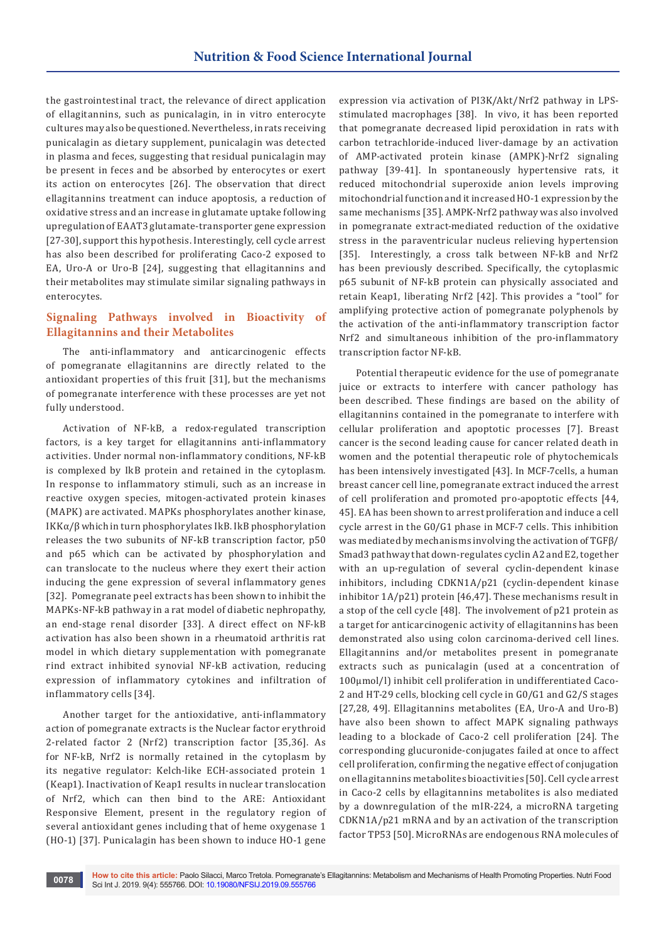the gastrointestinal tract, the relevance of direct application of ellagitannins, such as punicalagin, in in vitro enterocyte cultures may also be questioned. Nevertheless, in rats receiving punicalagin as dietary supplement, punicalagin was detected in plasma and feces, suggesting that residual punicalagin may be present in feces and be absorbed by enterocytes or exert its action on enterocytes [26]. The observation that direct ellagitannins treatment can induce apoptosis, a reduction of oxidative stress and an increase in glutamate uptake following upregulation of EAAT3 glutamate-transporter gene expression [27-30], support this hypothesis. Interestingly, cell cycle arrest has also been described for proliferating Caco-2 exposed to EA, Uro-A or Uro-B [24], suggesting that ellagitannins and their metabolites may stimulate similar signaling pathways in enterocytes.

# **Signaling Pathways involved in Bioactivity of Ellagitannins and their Metabolites**

The anti-inflammatory and anticarcinogenic effects of pomegranate ellagitannins are directly related to the antioxidant properties of this fruit [31], but the mechanisms of pomegranate interference with these processes are yet not fully understood.

Activation of NF-kB, a redox-regulated transcription factors, is a key target for ellagitannins anti-inflammatory activities. Under normal non-inflammatory conditions, NF-kB is complexed by IkB protein and retained in the cytoplasm. In response to inflammatory stimuli, such as an increase in reactive oxygen species, mitogen-activated protein kinases (MAPK) are activated. MAPKs phosphorylates another kinase, IKKα/β which in turn phosphorylates IkB. IkB phosphorylation releases the two subunits of NF-kB transcription factor, p50 and p65 which can be activated by phosphorylation and can translocate to the nucleus where they exert their action inducing the gene expression of several inflammatory genes [32]. Pomegranate peel extracts has been shown to inhibit the MAPKs-NF-kB pathway in a rat model of diabetic nephropathy, an end-stage renal disorder [33]. A direct effect on NF-kB activation has also been shown in a rheumatoid arthritis rat model in which dietary supplementation with pomegranate rind extract inhibited synovial NF-kB activation, reducing expression of inflammatory cytokines and infiltration of inflammatory cells [34].

Another target for the antioxidative, anti-inflammatory action of pomegranate extracts is the Nuclear factor erythroid 2-related factor 2 (Nrf2) transcription factor [35,36]. As for NF-kB, Nrf2 is normally retained in the cytoplasm by its negative regulator: Kelch-like ECH-associated protein 1 (Keap1). Inactivation of Keap1 results in nuclear translocation of Nrf2, which can then bind to the ARE: Antioxidant Responsive Element, present in the regulatory region of several antioxidant genes including that of heme oxygenase 1 (HO-1) [37]. Punicalagin has been shown to induce HO-1 gene

expression via activation of PI3K/Akt/Nrf2 pathway in LPSstimulated macrophages [38]. In vivo, it has been reported that pomegranate decreased lipid peroxidation in rats with carbon tetrachloride-induced liver-damage by an activation of AMP-activated protein kinase (AMPK)-Nrf2 signaling pathway [39-41]. In spontaneously hypertensive rats, it reduced mitochondrial superoxide anion levels improving mitochondrial function and it increased HO-1 expression by the same mechanisms [35]. AMPK-Nrf2 pathway was also involved in pomegranate extract-mediated reduction of the oxidative stress in the paraventricular nucleus relieving hypertension [35]. Interestingly, a cross talk between NF-kB and Nrf2 has been previously described. Specifically, the cytoplasmic p65 subunit of NF-kB protein can physically associated and retain Keap1, liberating Nrf2 [42]. This provides a "tool" for amplifying protective action of pomegranate polyphenols by the activation of the anti-inflammatory transcription factor Nrf2 and simultaneous inhibition of the pro-inflammatory transcription factor NF-kB.

Potential therapeutic evidence for the use of pomegranate juice or extracts to interfere with cancer pathology has been described. These findings are based on the ability of ellagitannins contained in the pomegranate to interfere with cellular proliferation and apoptotic processes [7]. Breast cancer is the second leading cause for cancer related death in women and the potential therapeutic role of phytochemicals has been intensively investigated [43]. In MCF-7cells, a human breast cancer cell line, pomegranate extract induced the arrest of cell proliferation and promoted pro-apoptotic effects [44, 45]. EA has been shown to arrest proliferation and induce a cell cycle arrest in the G0/G1 phase in MCF-7 cells. This inhibition was mediated by mechanisms involving the activation of TGFβ/ Smad3 pathway that down-regulates cyclin A2 and E2, together with an up-regulation of several cyclin-dependent kinase inhibitors, including CDKN1A/p21 (cyclin‐dependent kinase inhibitor 1A/p21) protein [46,47]. These mechanisms result in a stop of the cell cycle [48]. The involvement of p21 protein as a target for anticarcinogenic activity of ellagitannins has been demonstrated also using colon carcinoma-derived cell lines. Ellagitannins and/or metabolites present in pomegranate extracts such as punicalagin (used at a concentration of 100µmol/l) inhibit cell proliferation in undifferentiated Caco-2 and HT-29 cells, blocking cell cycle in G0/G1 and G2/S stages [27,28, 49]. Ellagitannins metabolites (EA, Uro-A and Uro-B) have also been shown to affect MAPK signaling pathways leading to a blockade of Caco-2 cell proliferation [24]. The corresponding glucuronide-conjugates failed at once to affect cell proliferation, confirming the negative effect of conjugation on ellagitannins metabolites bioactivities [50]. Cell cycle arrest in Caco-2 cells by ellagitannins metabolites is also mediated by a downregulation of the mIR-224, a microRNA targeting CDKN1A/p21 mRNA and by an activation of the transcription factor TP53 [50]. MicroRNAs are endogenous RNA molecules of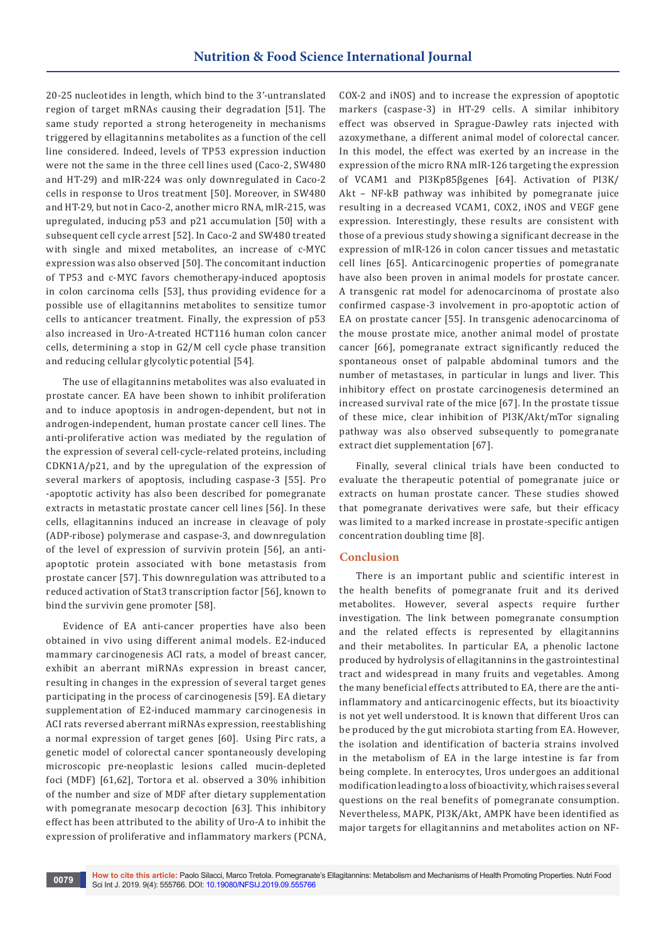20-25 nucleotides in length, which bind to the 3'-untranslated region of target mRNAs causing their degradation [51]. The same study reported a strong heterogeneity in mechanisms triggered by ellagitannins metabolites as a function of the cell line considered. Indeed, levels of TP53 expression induction were not the same in the three cell lines used (Caco-2, SW480 and HT-29) and mIR-224 was only downregulated in Caco-2 cells in response to Uros treatment [50]. Moreover, in SW480 and HT-29, but not in Caco-2, another micro RNA, mIR-215, was upregulated, inducing p53 and p21 accumulation [50] with a subsequent cell cycle arrest [52]. In Caco-2 and SW480 treated with single and mixed metabolites, an increase of c-MYC expression was also observed [50]. The concomitant induction of TP53 and c-MYC favors chemotherapy-induced apoptosis in colon carcinoma cells [53], thus providing evidence for a possible use of ellagitannins metabolites to sensitize tumor cells to anticancer treatment. Finally, the expression of p53 also increased in Uro-A-treated HCT116 human colon cancer cells, determining a stop in G2/M cell cycle phase transition and reducing cellular glycolytic potential [54].

The use of ellagitannins metabolites was also evaluated in prostate cancer. EA have been shown to inhibit proliferation and to induce apoptosis in androgen-dependent, but not in androgen-independent, human prostate cancer cell lines. The anti-proliferative action was mediated by the regulation of the expression of several cell-cycle-related proteins, including CDKN1A/p21, and by the upregulation of the expression of several markers of apoptosis, including caspase-3 [55]. Pro -apoptotic activity has also been described for pomegranate extracts in metastatic prostate cancer cell lines [56]. In these cells, ellagitannins induced an increase in cleavage of poly (ADP‐ribose) polymerase and caspase-3, and downregulation of the level of expression of survivin protein [56], an antiapoptotic protein associated with bone metastasis from prostate cancer [57]. This downregulation was attributed to a reduced activation of Stat3 transcription factor [56], known to bind the survivin gene promoter [58].

Evidence of EA anti-cancer properties have also been obtained in vivo using different animal models. E2-induced mammary carcinogenesis ACI rats, a model of breast cancer, exhibit an aberrant miRNAs expression in breast cancer, resulting in changes in the expression of several target genes participating in the process of carcinogenesis [59]. EA dietary supplementation of E2-induced mammary carcinogenesis in ACI rats reversed aberrant miRNAs expression, reestablishing a normal expression of target genes [60]. Using Pirc rats, a genetic model of colorectal cancer spontaneously developing microscopic pre-neoplastic lesions called mucin-depleted foci (MDF) [61,62], Tortora et al. observed a 30% inhibition of the number and size of MDF after dietary supplementation with pomegranate mesocarp decoction [63]. This inhibitory effect has been attributed to the ability of Uro-A to inhibit the expression of proliferative and inflammatory markers (PCNA,

COX-2 and iNOS) and to increase the expression of apoptotic markers (caspase-3) in HT-29 cells. A similar inhibitory effect was observed in Sprague-Dawley rats injected with azoxymethane, a different animal model of colorectal cancer. In this model, the effect was exerted by an increase in the expression of the micro RNA mIR-126 targeting the expression of VCAM1 and PI3Kp85βgenes [64]. Activation of PI3K/ Akt – NF-kB pathway was inhibited by pomegranate juice resulting in a decreased VCAM1, COX2, iNOS and VEGF gene expression. Interestingly, these results are consistent with those of a previous study showing a significant decrease in the expression of mIR-126 in colon cancer tissues and metastatic cell lines [65]. Anticarcinogenic properties of pomegranate have also been proven in animal models for prostate cancer. A transgenic rat model for adenocarcinoma of prostate also confirmed caspase-3 involvement in pro-apoptotic action of EA on prostate cancer [55]. In transgenic adenocarcinoma of the mouse prostate mice, another animal model of prostate cancer [66], pomegranate extract significantly reduced the spontaneous onset of palpable abdominal tumors and the number of metastases, in particular in lungs and liver. This inhibitory effect on prostate carcinogenesis determined an increased survival rate of the mice [67]. In the prostate tissue of these mice, clear inhibition of PI3K/Akt/mTor signaling pathway was also observed subsequently to pomegranate extract diet supplementation [67].

Finally, several clinical trials have been conducted to evaluate the therapeutic potential of pomegranate juice or extracts on human prostate cancer. These studies showed that pomegranate derivatives were safe, but their efficacy was limited to a marked increase in prostate-specific antigen concentration doubling time [8].

## **Conclusion**

There is an important public and scientific interest in the health benefits of pomegranate fruit and its derived metabolites. However, several aspects require further investigation. The link between pomegranate consumption and the related effects is represented by ellagitannins and their metabolites. In particular EA, a phenolic lactone produced by hydrolysis of ellagitannins in the gastrointestinal tract and widespread in many fruits and vegetables. Among the many beneficial effects attributed to EA, there are the antiinflammatory and anticarcinogenic effects, but its bioactivity is not yet well understood. It is known that different Uros can be produced by the gut microbiota starting from EA. However, the isolation and identification of bacteria strains involved in the metabolism of EA in the large intestine is far from being complete. In enterocytes, Uros undergoes an additional modification leading to a loss of bioactivity, which raises several questions on the real benefits of pomegranate consumption. Nevertheless, MAPK, PI3K/Akt, AMPK have been identified as major targets for ellagitannins and metabolites action on NF-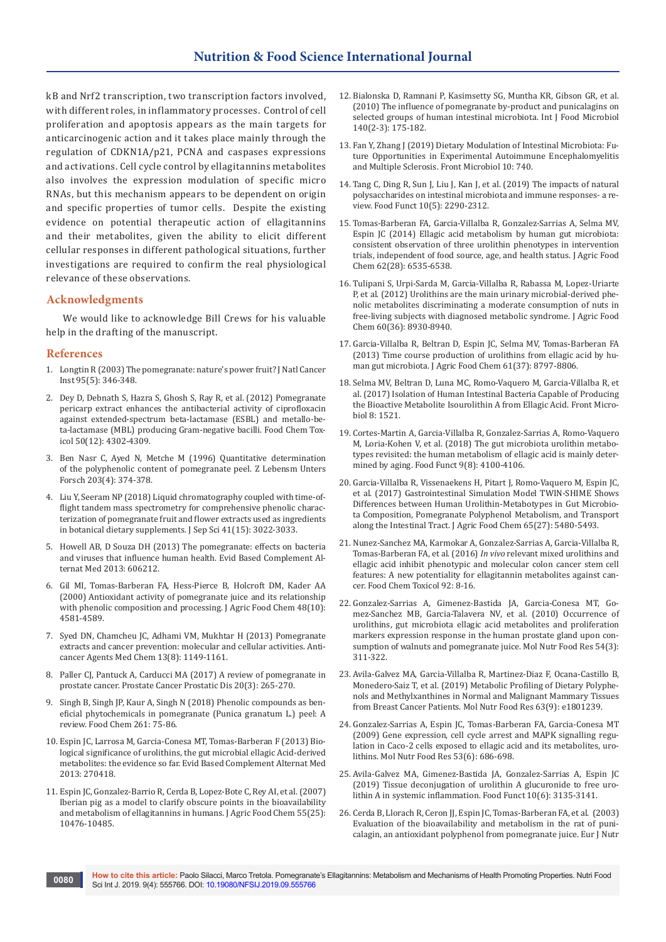kB and Nrf2 transcription, two transcription factors involved, with different roles, in inflammatory processes. Control of cell proliferation and apoptosis appears as the main targets for anticarcinogenic action and it takes place mainly through the regulation of CDKN1A/p21, PCNA and caspases expressions and activations. Cell cycle control by ellagitannins metabolites also involves the expression modulation of specific micro RNAs, but this mechanism appears to be dependent on origin and specific properties of tumor cells. Despite the existing evidence on potential therapeutic action of ellagitannins and their metabolites, given the ability to elicit different cellular responses in different pathological situations, further investigations are required to confirm the real physiological relevance of these observations.

# **Acknowledgments**

We would like to acknowledge Bill Crews for his valuable help in the drafting of the manuscript.

### **References**

- 1. [Longtin R \(2003\) The pomegranate: nature's power fruit? J Natl Cancer](https://www.ncbi.nlm.nih.gov/pubmed/12618495)  [Inst 95\(5\): 346-348.](https://www.ncbi.nlm.nih.gov/pubmed/12618495)
- 2. [Dey D, Debnath S, Hazra S, Ghosh S, Ray R, et al. \(2012\) Pomegranate](https://www.ncbi.nlm.nih.gov/pubmed/22982804)  [pericarp extract enhances the antibacterial activity of ciprofloxacin](https://www.ncbi.nlm.nih.gov/pubmed/22982804)  [against extended-spectrum beta-lactamase \(ESBL\) and metallo-be](https://www.ncbi.nlm.nih.gov/pubmed/22982804)[ta-lactamase \(MBL\) producing Gram-negative bacilli. Food Chem Tox](https://www.ncbi.nlm.nih.gov/pubmed/22982804)[icol 50\(12\): 4302-4309.](https://www.ncbi.nlm.nih.gov/pubmed/22982804)
- 3. [Ben Nasr C, Ayed N, Metche M \(1996\) Quantitative determination](https://www.ncbi.nlm.nih.gov/pubmed/9123975)  [of the polyphenolic content of pomegranate peel. Z Lebensm Unters](https://www.ncbi.nlm.nih.gov/pubmed/9123975)  [Forsch 203\(4\): 374-378.](https://www.ncbi.nlm.nih.gov/pubmed/9123975)
- 4. [Liu Y, Seeram NP \(2018\) Liquid chromatography coupled with time-of](https://www.ncbi.nlm.nih.gov/pubmed/29847709)[flight tandem mass spectrometry for comprehensive phenolic charac](https://www.ncbi.nlm.nih.gov/pubmed/29847709)[terization of pomegranate fruit and flower extracts used as ingredients](https://www.ncbi.nlm.nih.gov/pubmed/29847709)  [in botanical dietary supplements. J Sep Sci 41\(15\): 3022-3033.](https://www.ncbi.nlm.nih.gov/pubmed/29847709)
- 5. [Howell AB, D Souza DH \(2013\) The pomegranate: effects on bacteria](https://www.ncbi.nlm.nih.gov/pubmed/23762148)  [and viruses that influence human health. Evid Based Complement Al](https://www.ncbi.nlm.nih.gov/pubmed/23762148)[ternat Med 2013: 606212.](https://www.ncbi.nlm.nih.gov/pubmed/23762148)
- 6. [Gil MI, Tomas-Barberan FA, Hess-Pierce B, Holcroft DM, Kader AA](https://www.ncbi.nlm.nih.gov/pubmed/11052704)  [\(2000\) Antioxidant activity of pomegranate juice and its relationship](https://www.ncbi.nlm.nih.gov/pubmed/11052704)  [with phenolic composition and processing. J Agric Food Chem 48\(10\):](https://www.ncbi.nlm.nih.gov/pubmed/11052704)  [4581-4589.](https://www.ncbi.nlm.nih.gov/pubmed/11052704)
- 7. [Syed DN, Chamcheu JC, Adhami VM, Mukhtar H \(2013\) Pomegranate](https://www.ncbi.nlm.nih.gov/pubmed/23094914)  [extracts and cancer prevention: molecular and cellular activities. Anti](https://www.ncbi.nlm.nih.gov/pubmed/23094914)[cancer Agents Med Chem 13\(8\): 1149-1161.](https://www.ncbi.nlm.nih.gov/pubmed/23094914)
- 8. [Paller CJ, Pantuck A, Carducci MA \(2017\) A review of pomegranate in](https://www.ncbi.nlm.nih.gov/pubmed/28440320)  [prostate cancer. Prostate Cancer Prostatic Dis 20\(3\): 265-270.](https://www.ncbi.nlm.nih.gov/pubmed/28440320)
- 9. [Singh B, Singh JP, Kaur A, Singh N \(2018\) Phenolic compounds as ben](https://www.ncbi.nlm.nih.gov/pubmed/29739608)[eficial phytochemicals in pomegranate \(Punica granatum L.\) peel: A](https://www.ncbi.nlm.nih.gov/pubmed/29739608)  [review. Food Chem 261: 75-86.](https://www.ncbi.nlm.nih.gov/pubmed/29739608)
- 10. Espin JC, Larrosa M, Garcia-Conesa MT, Tomas-Barberan F (2013) Biological significance of urolithins, the gut microbial ellagic Acid-derived metabolites: the evidence so far. Evid Based Complement Alternat Med 2013: 270418.
- 11. [Espin JC, Gonzalez-Barrio R, Cerda B, Lopez-Bote C, Rey AI, et al. \(2007\)](https://www.ncbi.nlm.nih.gov/pubmed/17990850)  [Iberian pig as a model to clarify obscure points in the bioavailability](https://www.ncbi.nlm.nih.gov/pubmed/17990850)  [and metabolism of ellagitannins in humans. J Agric Food Chem 55\(25\):](https://www.ncbi.nlm.nih.gov/pubmed/17990850)  [10476-10485.](https://www.ncbi.nlm.nih.gov/pubmed/17990850)
- 12. [Bialonska D, Ramnani P, Kasimsetty SG, Muntha KR, Gibson GR, et al.](https://www.ncbi.nlm.nih.gov/pubmed/20452076)  [\(2010\) The influence of pomegranate by-product and punicalagins on](https://www.ncbi.nlm.nih.gov/pubmed/20452076)  [selected groups of human intestinal microbiota. Int J Food Microbiol](https://www.ncbi.nlm.nih.gov/pubmed/20452076)  [140\(2-3\): 175-182.](https://www.ncbi.nlm.nih.gov/pubmed/20452076)
- 13. [Fan Y, Zhang J \(2019\) Dietary Modulation of Intestinal Microbiota: Fu](https://www.ncbi.nlm.nih.gov/pubmed/31040833)[ture Opportunities in Experimental Autoimmune Encephalomyelitis](https://www.ncbi.nlm.nih.gov/pubmed/31040833)  [and Multiple Sclerosis. Front Microbiol 10: 740.](https://www.ncbi.nlm.nih.gov/pubmed/31040833)
- 14. Tang C, Ding R, Sun J, Liu J, Kan J, et al. (2019) The impacts of natural polysaccharides on intestinal microbiota and immune responses- a review. Food Funct 10(5): 2290-2312.
- 15. [Tomas-Barberan FA, Garcia-Villalba R, Gonzalez-Sarrias A, Selma MV,](https://www.ncbi.nlm.nih.gov/pubmed/24976365)  [Espin JC \(2014\) Ellagic acid metabolism by human gut microbiota:](https://www.ncbi.nlm.nih.gov/pubmed/24976365)  [consistent observation of three urolithin phenotypes in intervention](https://www.ncbi.nlm.nih.gov/pubmed/24976365)  [trials, independent of food source, age, and health status. J Agric Food](https://www.ncbi.nlm.nih.gov/pubmed/24976365)  [Chem 62\(28\): 6535-6538.](https://www.ncbi.nlm.nih.gov/pubmed/24976365)
- 16. [Tulipani S, Urpi-Sarda M, Garcia-Villalba R, Rabassa M, Lopez-Uriarte](https://www.ncbi.nlm.nih.gov/pubmed/22631214)  [P, et al. \(2012\) Urolithins are the main urinary microbial-derived phe](https://www.ncbi.nlm.nih.gov/pubmed/22631214)[nolic metabolites discriminating a moderate consumption of nuts in](https://www.ncbi.nlm.nih.gov/pubmed/22631214)  [free-living subjects with diagnosed metabolic syndrome. J Agric Food](https://www.ncbi.nlm.nih.gov/pubmed/22631214)  [Chem 60\(36\): 8930-8940.](https://www.ncbi.nlm.nih.gov/pubmed/22631214)
- 17. [Garcia-Villalba R, Beltran D, Espin JC, Selma MV, Tomas-Barberan FA](https://www.ncbi.nlm.nih.gov/pubmed/23984796)  [\(2013\) Time course production of urolithins from ellagic acid by hu](https://www.ncbi.nlm.nih.gov/pubmed/23984796)man gut microbiota. [J Agric Food Chem 61\(37\): 8797-8806.](https://www.ncbi.nlm.nih.gov/pubmed/23984796)
- 18. [Selma MV, Beltran D, Luna MC, Romo-Vaquero M, Garcia-Villalba R, et](https://www.ncbi.nlm.nih.gov/pubmed/28824607)  al. [\(2017\) Isolation of Human Intestinal Bacteria Capable of Producing](https://www.ncbi.nlm.nih.gov/pubmed/28824607)  [the Bioactive Metabolite Isourolithin A from Ellagic Acid. Front Micro](https://www.ncbi.nlm.nih.gov/pubmed/28824607)[biol 8: 1521.](https://www.ncbi.nlm.nih.gov/pubmed/28824607)
- 19. [Cortes-Martin A, Garcia-Villalba R, Gonzalez-Sarrias A, Romo-Vaquero](https://www.ncbi.nlm.nih.gov/pubmed/30004553)  [M, Loria-Kohen V, et al. \(2018\) The gut microbiota urolithin metabo](https://www.ncbi.nlm.nih.gov/pubmed/30004553)[types revisited: the human metabolism of ellagic acid is mainly deter](https://www.ncbi.nlm.nih.gov/pubmed/30004553)[mined by aging. Food Funct 9\(8\): 4100-4106.](https://www.ncbi.nlm.nih.gov/pubmed/30004553)
- 20. [Garcia-Villalba R, Vissenaekens H, Pitart J, Romo-Vaquero M, Espin JC](https://www.ncbi.nlm.nih.gov/pubmed/28616977)*,*  [et al. \(2017\) Gastrointestinal Simulation Model TWIN-SHIME Shows](https://www.ncbi.nlm.nih.gov/pubmed/28616977)  [Differences between Human Urolithin-Metabotypes in Gut Microbio](https://www.ncbi.nlm.nih.gov/pubmed/28616977)[ta Composition, Pomegranate Polyphenol Metabolism, and Transport](https://www.ncbi.nlm.nih.gov/pubmed/28616977)  [along the Intestinal Tract. J Agric Food Chem 65\(27\): 5480-5493.](https://www.ncbi.nlm.nih.gov/pubmed/28616977)
- 21. [Nunez-Sanchez MA, Karmokar A, Gonzalez-Sarrias A, Garcia-Villalba R,](https://www.ncbi.nlm.nih.gov/pubmed/26995228)  [Tomas-Barberan FA, et al. \(2016\)](https://www.ncbi.nlm.nih.gov/pubmed/26995228) *In vivo* relevant mixed urolithins and [ellagic acid inhibit phenotypic and molecular colon cancer stem cell](https://www.ncbi.nlm.nih.gov/pubmed/26995228)  [features: A new potentiality for ellagitannin metabolites against can](https://www.ncbi.nlm.nih.gov/pubmed/26995228)[cer. Food Chem Toxicol 92: 8-16.](https://www.ncbi.nlm.nih.gov/pubmed/26995228)
- 22. [Gonzalez-Sarrias A, Gimenez-Bastida JA, Garcia-Conesa MT, Go](https://www.ncbi.nlm.nih.gov/pubmed/19885850)[mez-Sanchez MB, Garcia-Talavera NV, et al. \(2010\) Occurrence of](https://www.ncbi.nlm.nih.gov/pubmed/19885850)  [urolithins, gut microbiota ellagic acid metabolites and proliferation](https://www.ncbi.nlm.nih.gov/pubmed/19885850)  [markers expression response in the human prostate gland upon con](https://www.ncbi.nlm.nih.gov/pubmed/19885850)[sumption of walnuts and pomegranate juice. Mol Nutr Food Res 54\(3\):](https://www.ncbi.nlm.nih.gov/pubmed/19885850)  [311-322.](https://www.ncbi.nlm.nih.gov/pubmed/19885850)
- 23. [Avila-Galvez MA, Garcia-Villalba R, Martinez-Diaz F, Ocana-Castillo B,](https://www.ncbi.nlm.nih.gov/pubmed/30690879)  [Monedero-Saiz T, et al. \(2019\) Metabolic Profiling of Dietary Polyphe](https://www.ncbi.nlm.nih.gov/pubmed/30690879)[nols and Methylxanthines in Normal and Malignant Mammary Tissues](https://www.ncbi.nlm.nih.gov/pubmed/30690879)  [from Breast Cancer Patients. Mol Nutr Food Res 63\(9\): e1801239.](https://www.ncbi.nlm.nih.gov/pubmed/30690879)
- 24. [Gonzalez-Sarrias A, Espin JC, Tomas-Barberan FA, Garcia-Conesa MT](https://www.ncbi.nlm.nih.gov/pubmed/19437480)  [\(2009\) Gene expression, cell cycle arrest and MAPK signalling regu](https://www.ncbi.nlm.nih.gov/pubmed/19437480)[lation in Caco-2 cells exposed to ellagic acid and its metabolites, uro](https://www.ncbi.nlm.nih.gov/pubmed/19437480)[lithins. Mol Nutr Food Res 53\(6\): 686-698.](https://www.ncbi.nlm.nih.gov/pubmed/19437480)
- 25. [Avila-Galvez MA, Gimenez-Bastida JA, Gonzalez-Sarrias A, Espin JC](https://www.ncbi.nlm.nih.gov/pubmed/31041969)  [\(2019\) Tissue deconjugation of urolithin A glucuronide to free uro](https://www.ncbi.nlm.nih.gov/pubmed/31041969)[lithin A in systemic inflammation. Food Funct 10\(6\): 3135-3141.](https://www.ncbi.nlm.nih.gov/pubmed/31041969)
- 26. [Cerda B, Llorach R, Ceron JJ, Espin JC, Tomas-Barberan FA, et al. \(2003\)](https://www.ncbi.nlm.nih.gov/pubmed/12594538)  [Evaluation of the bioavailability and metabolism in the rat of puni](https://www.ncbi.nlm.nih.gov/pubmed/12594538)[calagin, an antioxidant polyphenol from pomegranate juice. Eur J Nutr](https://www.ncbi.nlm.nih.gov/pubmed/12594538)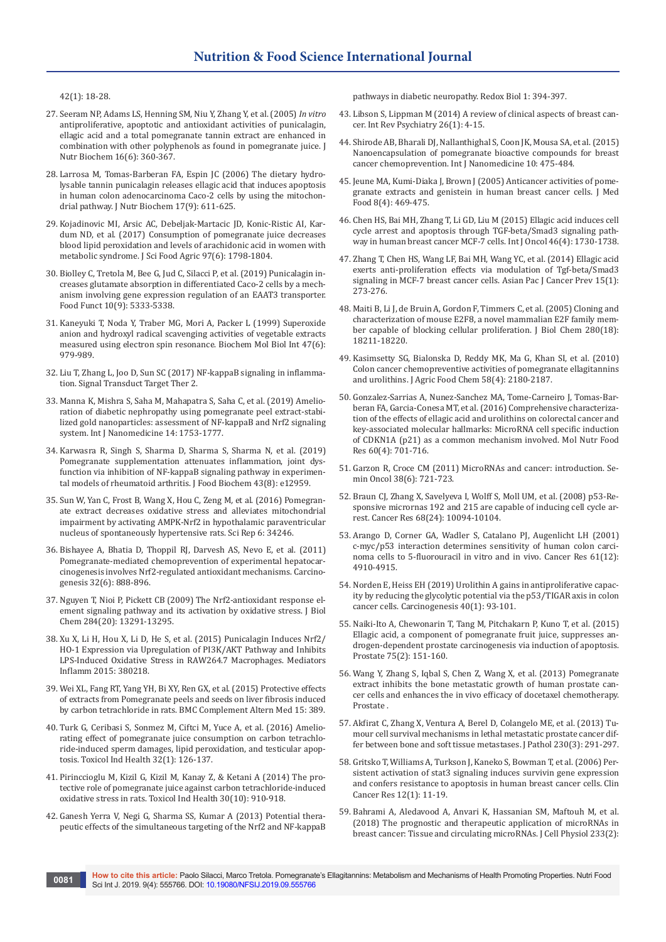[42\(1\): 18-28.](https://www.ncbi.nlm.nih.gov/pubmed/12594538)

- 27. [Seeram NP, Adams LS, Henning SM, Niu Y, Zhang Y, et al. \(2005\)](https://www.ncbi.nlm.nih.gov/pubmed/15936648) *In vitro* [antiproliferative, apoptotic and antioxidant activities of punicalagin,](https://www.ncbi.nlm.nih.gov/pubmed/15936648)  [ellagic acid and a total pomegranate tannin extract are enhanced in](https://www.ncbi.nlm.nih.gov/pubmed/15936648)  [combination with other polyphenols as found in pomegranate juice. J](https://www.ncbi.nlm.nih.gov/pubmed/15936648)  [Nutr Biochem 16\(6\): 360-367.](https://www.ncbi.nlm.nih.gov/pubmed/15936648)
- 28. [Larrosa M, Tomas-Barberan FA, Espin JC \(2006\) The dietary hydro](https://www.ncbi.nlm.nih.gov/pubmed/16426830)[lysable tannin punicalagin releases ellagic acid that induces apoptosis](https://www.ncbi.nlm.nih.gov/pubmed/16426830)  [in human colon adenocarcinoma Caco-2 cells by using the mitochon](https://www.ncbi.nlm.nih.gov/pubmed/16426830)[drial pathway. J Nutr Biochem 17\(9\): 611-625.](https://www.ncbi.nlm.nih.gov/pubmed/16426830)
- 29. [Kojadinovic MI, Arsic AC, Debeljak-Martacic JD, Konic-Ristic AI, Kar](https://www.ncbi.nlm.nih.gov/pubmed/27476699)[dum ND, et al. \(2017\) Consumption of pomegranate juice decreases](https://www.ncbi.nlm.nih.gov/pubmed/27476699)  [blood lipid peroxidation and levels of arachidonic acid in women with](https://www.ncbi.nlm.nih.gov/pubmed/27476699)  [metabolic syndrome. J Sci Food Agric 97\(6\): 1798-1804.](https://www.ncbi.nlm.nih.gov/pubmed/27476699)
- 30. [Biolley C, Tretola M, Bee G, Jud C, Silacci P, et al. \(2019\) Punicalagin in](https://www.ncbi.nlm.nih.gov/pubmed/31389458)[creases glutamate absorption in differentiated Caco-2 cells by a mech](https://www.ncbi.nlm.nih.gov/pubmed/31389458)[anism involving gene expression regulation of an EAAT3 transporter.](https://www.ncbi.nlm.nih.gov/pubmed/31389458)  [Food Funct 10\(9\): 5333-5338.](https://www.ncbi.nlm.nih.gov/pubmed/31389458)
- 31. [Kaneyuki T, Noda Y, Traber MG, Mori A, Packer L \(1999\) Superoxide](https://www.ncbi.nlm.nih.gov/pubmed/10410244)  [anion and hydroxyl radical scavenging activities of vegetable extracts](https://www.ncbi.nlm.nih.gov/pubmed/10410244)  [measured using electron spin resonance.](https://www.ncbi.nlm.nih.gov/pubmed/10410244) Biochem Mol Biol Int 47(6): [979-989.](https://www.ncbi.nlm.nih.gov/pubmed/10410244)
- 32. [Liu T, Zhang L, Joo D, Sun SC \(2017\) NF-kappaB signaling in inflamma](https://www.ncbi.nlm.nih.gov/pubmed/29158945)[tion. Signal Transduct Target Ther 2.](https://www.ncbi.nlm.nih.gov/pubmed/29158945)
- 33. [Manna K, Mishra S, Saha M, Mahapatra S, Saha C,](https://www.ncbi.nlm.nih.gov/pubmed/30880978) et al. (2019) Amelio[ration of diabetic nephropathy using pomegranate peel extract-stabi](https://www.ncbi.nlm.nih.gov/pubmed/30880978)[lized gold nanoparticles: assessment of NF-kappaB and Nrf2 signaling](https://www.ncbi.nlm.nih.gov/pubmed/30880978)  [system. Int J Nanomedicine 14: 1753-1777.](https://www.ncbi.nlm.nih.gov/pubmed/30880978)
- 34. [Karwasra R, Singh S, Sharma D, Sharma S, Sharma N, et al. \(2019\)](https://onlinelibrary.wiley.com/doi/abs/10.1111/jfbc.12959)  [Pomegranate supplementation attenuates inflammation, joint dys](https://onlinelibrary.wiley.com/doi/abs/10.1111/jfbc.12959)[function via inhibition of NF-kappaB signaling pathway in experimen](https://onlinelibrary.wiley.com/doi/abs/10.1111/jfbc.12959)[tal models of rheumatoid arthritis. J Food Biochem 43\(8\): e12959](https://onlinelibrary.wiley.com/doi/abs/10.1111/jfbc.12959).
- 35. [Sun W, Yan C, Frost B, Wang X, Hou C, Zeng M](https://www.ncbi.nlm.nih.gov/pubmed/27713551)*,* et al. (2016) Pomegran[ate extract decreases oxidative stress and alleviates mitochondrial](https://www.ncbi.nlm.nih.gov/pubmed/27713551)  [impairment by activating AMPK-Nrf2 in hypothalamic paraventricular](https://www.ncbi.nlm.nih.gov/pubmed/27713551)  [nucleus of spontaneously hypertensive rats. Sci Rep 6: 34246](https://www.ncbi.nlm.nih.gov/pubmed/27713551).
- 36. [Bishayee A, Bhatia D, Thoppil RJ, Darvesh AS, Nevo E, et al. \(2011\)](https://www.ncbi.nlm.nih.gov/pubmed/21389260)  [Pomegranate-mediated chemoprevention of experimental hepatocar](https://www.ncbi.nlm.nih.gov/pubmed/21389260)[cinogenesis involves Nrf2-regulated antioxidant mechanisms. Carcino](https://www.ncbi.nlm.nih.gov/pubmed/21389260)[genesis 32\(6\): 888-896](https://www.ncbi.nlm.nih.gov/pubmed/21389260).
- 37. [Nguyen T, Nioi P, Pickett CB \(2009\) The Nrf2-antioxidant response el](https://www.ncbi.nlm.nih.gov/pubmed/19182219)[ement signaling pathway and its activation by oxidative stress. J Biol](https://www.ncbi.nlm.nih.gov/pubmed/19182219)  [Chem 284\(20\): 13291-13295](https://www.ncbi.nlm.nih.gov/pubmed/19182219).
- 38. [Xu X, Li H, Hou X, Li D, He S, et al. \(2015\) Punicalagin Induces Nrf2/](https://www.ncbi.nlm.nih.gov/pubmed/25969626) [HO-1 Expression via Upregulation of PI3K/AKT Pathway and Inhibits](https://www.ncbi.nlm.nih.gov/pubmed/25969626)  [LPS-Induced Oxidative Stress in RAW264.7 Macrophages. Mediators](https://www.ncbi.nlm.nih.gov/pubmed/25969626)  [Inflamm 2015: 380218](https://www.ncbi.nlm.nih.gov/pubmed/25969626).
- 39. [Wei XL, Fang RT, Yang YH, Bi XY, Ren GX,](https://www.ncbi.nlm.nih.gov/pubmed/26508316) et al. (2015) Protective effects [of extracts from Pomegranate peels and seeds on liver fibrosis induced](https://www.ncbi.nlm.nih.gov/pubmed/26508316)  [by carbon tetrachloride in rats. BMC Complement Altern Med 15: 389](https://www.ncbi.nlm.nih.gov/pubmed/26508316).
- 40. [Turk G, Ceribasi S, Sonmez M, Ciftci M, Yuce A, et al. \(2016\) Amelio](https://www.ncbi.nlm.nih.gov/pubmed/24081635)[rating effect of pomegranate juice consumption on carbon tetrachlo](https://www.ncbi.nlm.nih.gov/pubmed/24081635)[ride-induced sperm damages, lipid peroxidation, and testicular apop](https://www.ncbi.nlm.nih.gov/pubmed/24081635)[tosis. Toxicol Ind Health 32\(1\): 126-137](https://www.ncbi.nlm.nih.gov/pubmed/24081635).
- 41. [Pirinccioglu M, Kizil G, Kizil M, Kanay Z, & Ketani A \(2014\) The pro](https://www.ncbi.nlm.nih.gov/pubmed/23160382)[tective role of pomegranate juice against carbon tetrachloride-induced](https://www.ncbi.nlm.nih.gov/pubmed/23160382)  [oxidative stress in rats. Toxicol Ind Health 30\(10\): 910-918.](https://www.ncbi.nlm.nih.gov/pubmed/23160382)
- 42. [Ganesh Yerra V, Negi G, Sharma SS, Kumar A \(2013\) Potential thera](https://www.ncbi.nlm.nih.gov/pubmed/24024177)[peutic effects of the simultaneous targeting of the Nrf2 and NF-kappaB](https://www.ncbi.nlm.nih.gov/pubmed/24024177)

[pathways in diabetic neuropathy. Redox Biol 1: 394-397.](https://www.ncbi.nlm.nih.gov/pubmed/24024177)

- 43. [Libson S, Lippman M \(2014\) A review of clinical aspects of breast can](https://www.ncbi.nlm.nih.gov/pubmed/24716497)[cer. Int Rev Psychiatry 26\(1\): 4-15.](https://www.ncbi.nlm.nih.gov/pubmed/24716497)
- 44. [Shirode AB, Bharali DJ, Nallanthighal S, Coon JK, Mousa SA, et al. \(2015\)](https://www.ncbi.nlm.nih.gov/pubmed/25624761)  [Nanoencapsulation of pomegranate bioactive compounds for breast](https://www.ncbi.nlm.nih.gov/pubmed/25624761)  [cancer chemoprevention. Int J Nanomedicine 10: 475-484.](https://www.ncbi.nlm.nih.gov/pubmed/25624761)
- 45. [Jeune MA, Kumi-Diaka J, Brown J \(2005\) Anticancer activities of pome](https://www.ncbi.nlm.nih.gov/pubmed/16379557)[granate extracts and genistein in human breast cancer cells. J Med](https://www.ncbi.nlm.nih.gov/pubmed/16379557)  [Food 8\(4\): 469-475.](https://www.ncbi.nlm.nih.gov/pubmed/16379557)
- 46. [Chen HS, Bai MH, Zhang T, Li GD, Liu M \(2015\) Ellagic acid induces cell](https://www.ncbi.nlm.nih.gov/pubmed/25647396)  [cycle arrest and apoptosis through TGF-beta/Smad3 signaling path](https://www.ncbi.nlm.nih.gov/pubmed/25647396)[way in human breast cancer MCF-7 cells. Int J Oncol 46\(4\): 1730-1738.](https://www.ncbi.nlm.nih.gov/pubmed/25647396)
- 47. [Zhang T, Chen HS, Wang LF, Bai MH, Wang YC, et al. \(2014\) Ellagic acid](https://www.ncbi.nlm.nih.gov/pubmed/24528038)  [exerts anti-proliferation effects via modulation of Tgf-beta/Smad3](https://www.ncbi.nlm.nih.gov/pubmed/24528038)  [signaling in MCF-7 breast cancer cells. Asian Pac J Cancer Prev 15\(1\):](https://www.ncbi.nlm.nih.gov/pubmed/24528038)  [273-276.](https://www.ncbi.nlm.nih.gov/pubmed/24528038)
- 48. [Maiti B, Li J, de Bruin A, Gordon F, Timmers C, et al. \(2005\) Cloning and](https://www.ncbi.nlm.nih.gov/pubmed/15722552)  [characterization of mouse E2F8, a novel mammalian E2F family mem](https://www.ncbi.nlm.nih.gov/pubmed/15722552)[ber capable of blocking cellular proliferation. J Biol Chem 280\(18\):](https://www.ncbi.nlm.nih.gov/pubmed/15722552)  [18211-18220.](https://www.ncbi.nlm.nih.gov/pubmed/15722552)
- 49. [Kasimsetty SG, Bialonska D, Reddy MK, Ma G, Khan SI, et al. \(2010\)](https://www.ncbi.nlm.nih.gov/pubmed/20112993)  [Colon cancer chemopreventive activities of pomegranate ellagitannins](https://www.ncbi.nlm.nih.gov/pubmed/20112993)  [and urolithins. J Agric Food Chem 58\(4\): 2180-2187.](https://www.ncbi.nlm.nih.gov/pubmed/20112993)
- 50. [Gonzalez-Sarrias A, Nunez-Sanchez MA, Tome-Carneiro J, Tomas-Bar](https://www.ncbi.nlm.nih.gov/pubmed/26634414)[beran FA, Garcia-Conesa MT, et al. \(2016\) Comprehensive characteriza](https://www.ncbi.nlm.nih.gov/pubmed/26634414)[tion of the effects of ellagic acid and urolithins on colorectal cancer and](https://www.ncbi.nlm.nih.gov/pubmed/26634414)  [key-associated molecular hallmarks: MicroRNA cell specific induction](https://www.ncbi.nlm.nih.gov/pubmed/26634414)  [of CDKN1A \(p21\) as a common mechanism involved. Mol Nutr Food](https://www.ncbi.nlm.nih.gov/pubmed/26634414)  [Res 60\(4\): 701-716.](https://www.ncbi.nlm.nih.gov/pubmed/26634414)
- 51. Garzon R, Croce CM (2011) MicroRNAs and cancer: introduction. Semin Oncol 38(6): 721-723.
- 52. [Braun CJ, Zhang X, Savelyeva I, Wolff S, Moll UM, et al. \(2008\) p53-Re](https://www.ncbi.nlm.nih.gov/pubmed/19074875)[sponsive micrornas 192 and 215 are capable of inducing cell cycle ar](https://www.ncbi.nlm.nih.gov/pubmed/19074875)[rest. Cancer Res 68\(24\): 10094-10104.](https://www.ncbi.nlm.nih.gov/pubmed/19074875)
- 53. [Arango D, Corner GA, Wadler S, Catalano PJ, Augenlicht LH \(2001\)](https://www.ncbi.nlm.nih.gov/pubmed/11406570)  [c-myc/p53 interaction determines sensitivity of human colon carci](https://www.ncbi.nlm.nih.gov/pubmed/11406570)[noma cells to 5-fluorouracil in vitro and in vivo. Cancer Res 61\(12\):](https://www.ncbi.nlm.nih.gov/pubmed/11406570)  [4910-4915.](https://www.ncbi.nlm.nih.gov/pubmed/11406570)
- 54. [Norden E, Heiss EH \(2019\) Urolithin A gains in antiproliferative capac](https://www.ncbi.nlm.nih.gov/pubmed/30418550)[ity by reducing the glycolytic potential via the p53/TIGAR axis in colon](https://www.ncbi.nlm.nih.gov/pubmed/30418550)  [cancer cells. Carcinogenesis 40\(1\): 93-101.](https://www.ncbi.nlm.nih.gov/pubmed/30418550)
- 55. [Naiki-Ito A, Chewonarin T, Tang M, Pitchakarn P, Kuno T, et al. \(2015\)](https://www.ncbi.nlm.nih.gov/pubmed/25284475)  [Ellagic acid, a component of pomegranate fruit juice, suppresses an](https://www.ncbi.nlm.nih.gov/pubmed/25284475)[drogen-dependent prostate carcinogenesis via induction of apoptosis.](https://www.ncbi.nlm.nih.gov/pubmed/25284475)  [Prostate 75\(2\): 151-160.](https://www.ncbi.nlm.nih.gov/pubmed/25284475)
- 56. [Wang Y, Zhang S, Iqbal S, Chen Z, Wang X, et al. \(2013\) Pomegranate](https://www.ncbi.nlm.nih.gov/pubmed/24375421)  [extract inhibits the bone metastatic growth of human prostate can](https://www.ncbi.nlm.nih.gov/pubmed/24375421)[cer cells and enhances the in vivo efficacy of docetaxel chemotherapy.](https://www.ncbi.nlm.nih.gov/pubmed/24375421)  [Prostate](https://www.ncbi.nlm.nih.gov/pubmed/24375421) .
- 57. [Akfirat C, Zhang X, Ventura A, Berel D, Colangelo ME, et al. \(2013\) Tu](https://www.ncbi.nlm.nih.gov/pubmed/23420560)[mour cell survival mechanisms in lethal metastatic prostate cancer dif](https://www.ncbi.nlm.nih.gov/pubmed/23420560)[fer between bone and soft tissue metastases. J Pathol 230\(3\): 291-297.](https://www.ncbi.nlm.nih.gov/pubmed/23420560)
- 58. [Gritsko T, Williams A, Turkson J, Kaneko S, Bowman T, et al. \(2006\) Per](https://www.ncbi.nlm.nih.gov/pubmed/16397018)[sistent activation of stat3 signaling induces survivin gene expression](https://www.ncbi.nlm.nih.gov/pubmed/16397018)  [and confers resistance to apoptosis in human breast cancer cells. Clin](https://www.ncbi.nlm.nih.gov/pubmed/16397018)  [Cancer Res 12\(1\): 11-19.](https://www.ncbi.nlm.nih.gov/pubmed/16397018)
- 59. [Bahrami A, Aledavood A, Anvari K, Hassanian SM, Maftouh M, et al.](https://www.ncbi.nlm.nih.gov/pubmed/28109133)  [\(2018\) The prognostic and therapeutic application of microRNAs in](https://www.ncbi.nlm.nih.gov/pubmed/28109133)  [breast cancer: Tissue and circulating microRNAs. J Cell Physiol 233\(2\):](https://www.ncbi.nlm.nih.gov/pubmed/28109133)